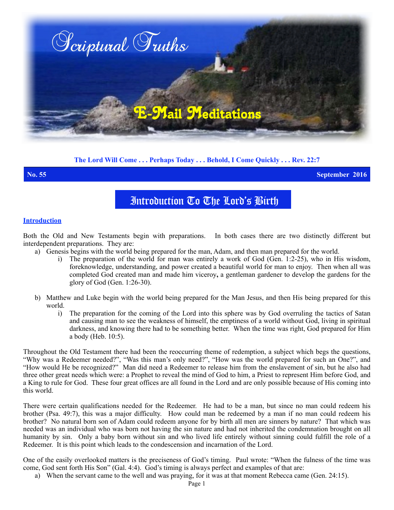

# **The Lord Will Come . . . Perhaps Today . . . Behold, I Come Quickly . . . Rev. 22:7**

**No. 55 September 2016**

# Introduction To The Lord's Birth

### **Introduction**

Both the Old and New Testaments begin with preparations. In both cases there are two distinctly different but interdependent preparations. They are:

- a) Genesis begins with the world being prepared for the man, Adam, and then man prepared for the world.
	- i) The preparation of the world for man was entirely a work of God (Gen. 1:2-25), who in His wisdom, foreknowledge, understanding, and power created a beautiful world for man to enjoy. Then when all was completed God created man and made him viceroy**,** a gentleman gardener to develop the gardens for the glory of God (Gen. 1:26-30).
- b) Matthew and Luke begin with the world being prepared for the Man Jesus, and then His being prepared for this world.
	- i) The preparation for the coming of the Lord into this sphere was by God overruling the tactics of Satan and causing man to see the weakness of himself, the emptiness of a world without God, living in spiritual darkness, and knowing there had to be something better. When the time was right, God prepared for Him a body (Heb. 10:5).

Throughout the Old Testament there had been the reoccurring theme of redemption, a subject which begs the questions, "Why was a Redeemer needed?", "Was this man's only need?", "How was the world prepared for such an One?", and "How would He be recognized?" Man did need a Redeemer to release him from the enslavement of sin, but he also had three other great needs which were: a Prophet to reveal the mind of God to him, a Priest to represent Him before God, and a King to rule for God. These four great offices are all found in the Lord and are only possible because of His coming into this world.

There were certain qualifications needed for the Redeemer. He had to be a man, but since no man could redeem his brother (Psa. 49:7), this was a major difficulty. How could man be redeemed by a man if no man could redeem his brother? No natural born son of Adam could redeem anyone for by birth all men are sinners by nature? That which was needed was an individual who was born not having the sin nature and had not inherited the condemnation brought on all humanity by sin. Only a baby born without sin and who lived life entirely without sinning could fulfill the role of a Redeemer. It is this point which leads to the condescension and incarnation of the Lord.

One of the easily overlooked matters is the preciseness of God's timing. Paul wrote: "When the fulness of the time was come, God sent forth His Son" (Gal. 4:4). God's timing is always perfect and examples of that are:

a) When the servant came to the well and was praying, for it was at that moment Rebecca came (Gen. 24:15).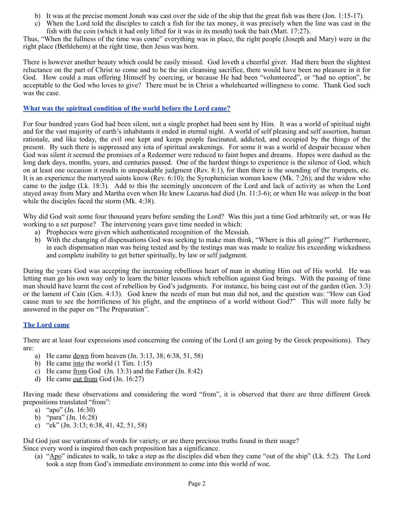- b) It was at the precise moment Jonah was cast over the side of the ship that the great fish was there (Jon. 1:15-17).
- c) When the Lord told the disciples to catch a fish for the tax money, it was precisely when the line was cast in the fish with the coin (which it had only lifted for it was in its mouth) took the bait (Matt. 17:27).

Thus, "When the fullness of the time was come" everything was in place, the right people (Joseph and Mary) were in the right place (Bethlehem) at the right time, then Jesus was born.

There is however another beauty which could be easily missed. God loveth a cheerful giver. Had there been the slightest reluctance on the part of Christ to come and to be the sin cleansing sacrifice, there would have been no pleasure in it for God. How could a man offering Himself by coercing, or because He had been "volunteered", or "had no option", be acceptable to the God who loves to give? There must be in Christ a wholehearted willingness to come. Thank God such was the case.

# **What was the spiritual condition of the world before the Lord came?**

For four hundred years God had been silent, not a single prophet had been sent by Him. It was a world of spiritual night and for the vast majority of earth's inhabitants it ended in eternal night. A world of self pleasing and self assertion, human rationale, and like today, the evil one kept and keeps people fascinated, addicted, and occupied by the things of the present. By such there is suppressed any iota of spiritual awakenings. For some it was a world of despair because when God was silent it seemed the promises of a Redeemer were reduced to faint hopes and dreams. Hopes were dashed as the long dark days, months, years, and centuries passed. One of the hardest things to experience is the silence of God, which on at least one occasion it results in unspeakable judgment (Rev. 8:1), for then there is the sounding of the trumpets, etc. It is an experience the martyred saints know (Rev. 6:10); the Syrophenician woman knew (Mk. 7:26); and the widow who came to the judge (Lk. 18:3). Add to this the seemingly unconcern of the Lord and lack of activity as when the Lord stayed away from Mary and Martha even when He knew Lazarus had died (Jn. 11:3-6); or when He was asleep in the boat while the disciples faced the storm (Mk. 4:38).

Why did God wait some four thousand years before sending the Lord? Was this just a time God arbitrarily set, or was He working to a set purpose? The intervening years gave time needed in which:

- a) Prophecies were given which authenticated recognition of the Messiah.
- b) With the changing of dispensations God was seeking to make man think, "Where is this all going?" Furthermore, in each dispensation man was being tested and by the testings man was made to realize his exceeding wickedness and complete inability to get better spiritually, by law or self judgment.

During the years God was accepting the increasing rebellious heart of man in shutting Him out of His world. He was letting man go his own way only to learn the bitter lessons which rebellion against God brings. With the passing of time man should have learnt the cost of rebellion by God's judgments. For instance, his being cast out of the garden (Gen. 3:3) or the lament of Cain (Gen. 4:13). God knew the needs of man but man did not, and the question was: "How can God cause man to see the horrificness of his plight, and the emptiness of a world without God?" This will more fully be answered in the paper on "The Preparation".

## **The Lord came**

There are at least four expressions used concerning the coming of the Lord (I am going by the Greek prepositions). They are:

- a) He came down from heaven (Jn. 3:13, 38; 6:38, 51, 58)
- b) He came into the world (1 Tim. 1:15)
- c) He came from God (Jn. 13:3) and the Father (Jn. 8:42)
- d) He came out from God (Jn. 16:27)

Having made these observations and considering the word "from", it is observed that there are three different Greek prepositions translated "from":

- a) "apo" (Jn. 16:30)
- b) "para" (Jn. 16:28)
- c) "ek" (Jn. 3:13; 6:38, 41, 42, 51, 58)

Did God just use variations of words for variety, or are there precious truths found in their usage?

Since every word is inspired then each preposition has a significance.

(a) "Apo" indicates to walk, to take a step as the disciples did when they came "out of the ship" (Lk. 5:2). The Lord took a step from God's immediate environment to come into this world of woe.